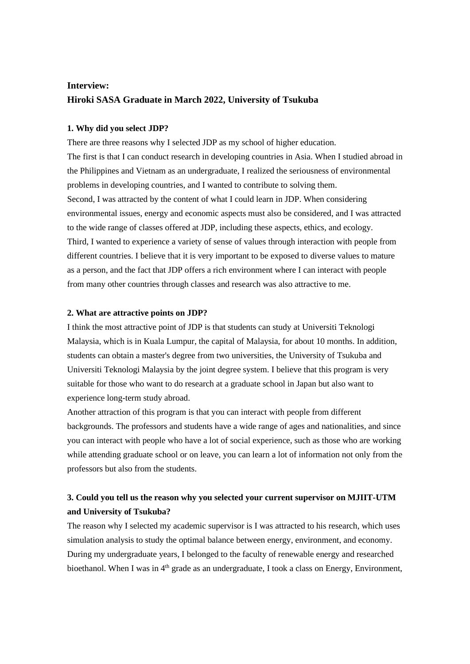# **Interview: Hiroki SASA Graduate in March 2022, University of Tsukuba**

### **1. Why did you select JDP?**

There are three reasons why I selected JDP as my school of higher education. The first is that I can conduct research in developing countries in Asia. When I studied abroad in the Philippines and Vietnam as an undergraduate, I realized the seriousness of environmental problems in developing countries, and I wanted to contribute to solving them. Second, I was attracted by the content of what I could learn in JDP. When considering environmental issues, energy and economic aspects must also be considered, and I was attracted to the wide range of classes offered at JDP, including these aspects, ethics, and ecology. Third, I wanted to experience a variety of sense of values through interaction with people from different countries. I believe that it is very important to be exposed to diverse values to mature as a person, and the fact that JDP offers a rich environment where I can interact with people from many other countries through classes and research was also attractive to me.

#### **2. What are attractive points on JDP?**

I think the most attractive point of JDP is that students can study at Universiti Teknologi Malaysia, which is in Kuala Lumpur, the capital of Malaysia, for about 10 months. In addition, students can obtain a master's degree from two universities, the University of Tsukuba and Universiti Teknologi Malaysia by the joint degree system. I believe that this program is very suitable for those who want to do research at a graduate school in Japan but also want to experience long-term study abroad.

Another attraction of this program is that you can interact with people from different backgrounds. The professors and students have a wide range of ages and nationalities, and since you can interact with people who have a lot of social experience, such as those who are working while attending graduate school or on leave, you can learn a lot of information not only from the professors but also from the students.

# **3. Could you tell us the reason why you selected your current supervisor on MJIIT-UTM and University of Tsukuba?**

The reason why I selected my academic supervisor is I was attracted to his research, which uses simulation analysis to study the optimal balance between energy, environment, and economy. During my undergraduate years, I belonged to the faculty of renewable energy and researched bioethanol. When I was in  $4<sup>th</sup>$  grade as an undergraduate, I took a class on Energy, Environment,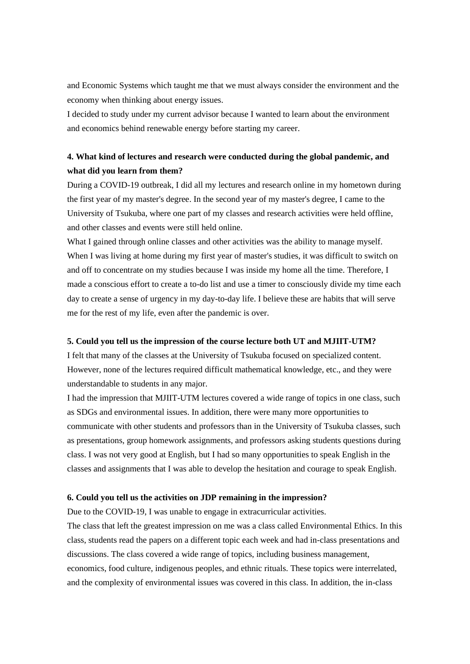and Economic Systems which taught me that we must always consider the environment and the economy when thinking about energy issues.

I decided to study under my current advisor because I wanted to learn about the environment and economics behind renewable energy before starting my career.

# **4. What kind of lectures and research were conducted during the global pandemic, and what did you learn from them?**

During a COVID-19 outbreak, I did all my lectures and research online in my hometown during the first year of my master's degree. In the second year of my master's degree, I came to the University of Tsukuba, where one part of my classes and research activities were held offline, and other classes and events were still held online.

What I gained through online classes and other activities was the ability to manage myself. When I was living at home during my first year of master's studies, it was difficult to switch on and off to concentrate on my studies because I was inside my home all the time. Therefore, I made a conscious effort to create a to-do list and use a timer to consciously divide my time each day to create a sense of urgency in my day-to-day life. I believe these are habits that will serve me for the rest of my life, even after the pandemic is over.

#### **5. Could you tell us the impression of the course lecture both UT and MJIIT-UTM?**

I felt that many of the classes at the University of Tsukuba focused on specialized content. However, none of the lectures required difficult mathematical knowledge, etc., and they were understandable to students in any major.

I had the impression that MJIIT-UTM lectures covered a wide range of topics in one class, such as SDGs and environmental issues. In addition, there were many more opportunities to communicate with other students and professors than in the University of Tsukuba classes, such as presentations, group homework assignments, and professors asking students questions during class. I was not very good at English, but I had so many opportunities to speak English in the classes and assignments that I was able to develop the hesitation and courage to speak English.

## **6. Could you tell us the activities on JDP remaining in the impression?**

Due to the COVID-19, I was unable to engage in extracurricular activities.

The class that left the greatest impression on me was a class called Environmental Ethics. In this class, students read the papers on a different topic each week and had in-class presentations and discussions. The class covered a wide range of topics, including business management, economics, food culture, indigenous peoples, and ethnic rituals. These topics were interrelated, and the complexity of environmental issues was covered in this class. In addition, the in-class